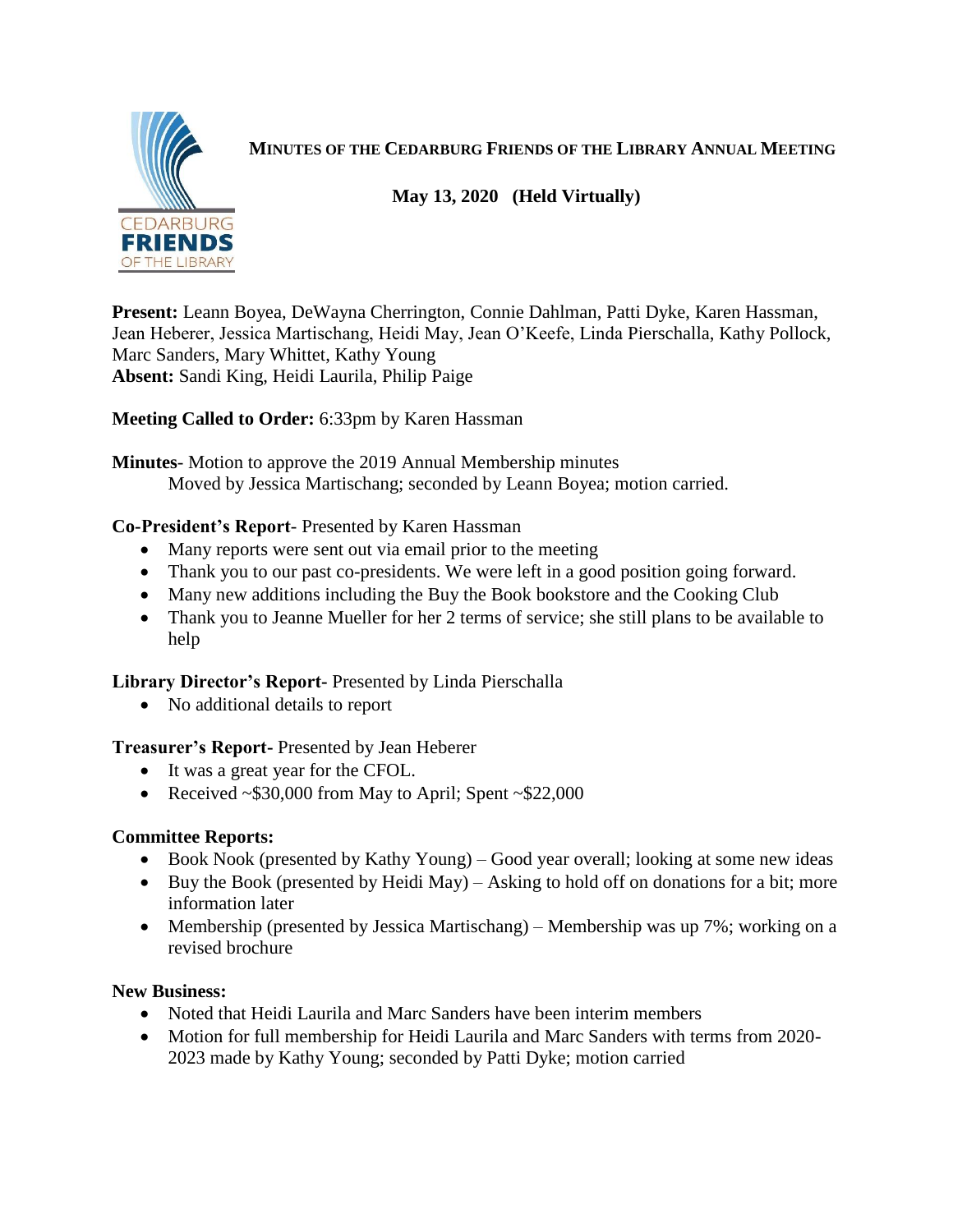

**MINUTES OF THE CEDARBURG FRIENDS OF THE LIBRARY ANNUAL MEETING**

## **May 13, 2020 (Held Virtually)**

**Present:** Leann Boyea, DeWayna Cherrington, Connie Dahlman, Patti Dyke, Karen Hassman, Jean Heberer, Jessica Martischang, Heidi May, Jean O'Keefe, Linda Pierschalla, Kathy Pollock, Marc Sanders, Mary Whittet, Kathy Young **Absent:** Sandi King, Heidi Laurila, Philip Paige

**Meeting Called to Order:** 6:33pm by Karen Hassman

**Minutes**- Motion to approve the 2019 Annual Membership minutes Moved by Jessica Martischang; seconded by Leann Boyea; motion carried.

## **Co-President's Report**- Presented by Karen Hassman

- Many reports were sent out via email prior to the meeting
- Thank you to our past co-presidents. We were left in a good position going forward.
- Many new additions including the Buy the Book bookstore and the Cooking Club
- Thank you to Jeanne Mueller for her 2 terms of service; she still plans to be available to help

**Library Director's Report-** Presented by Linda Pierschalla

• No additional details to report

**Treasurer's Report-** Presented by Jean Heberer

- It was a great year for the CFOL.
- Received  $\sim$  \$30,000 from May to April; Spent  $\sim$  \$22,000

## **Committee Reports:**

- Book Nook (presented by Kathy Young) Good year overall; looking at some new ideas
- Buy the Book (presented by Heidi May) Asking to hold off on donations for a bit; more information later
- Membership (presented by Jessica Martischang) Membership was up 7%; working on a revised brochure

## **New Business:**

- Noted that Heidi Laurila and Marc Sanders have been interim members
- Motion for full membership for Heidi Laurila and Marc Sanders with terms from 2020-2023 made by Kathy Young; seconded by Patti Dyke; motion carried